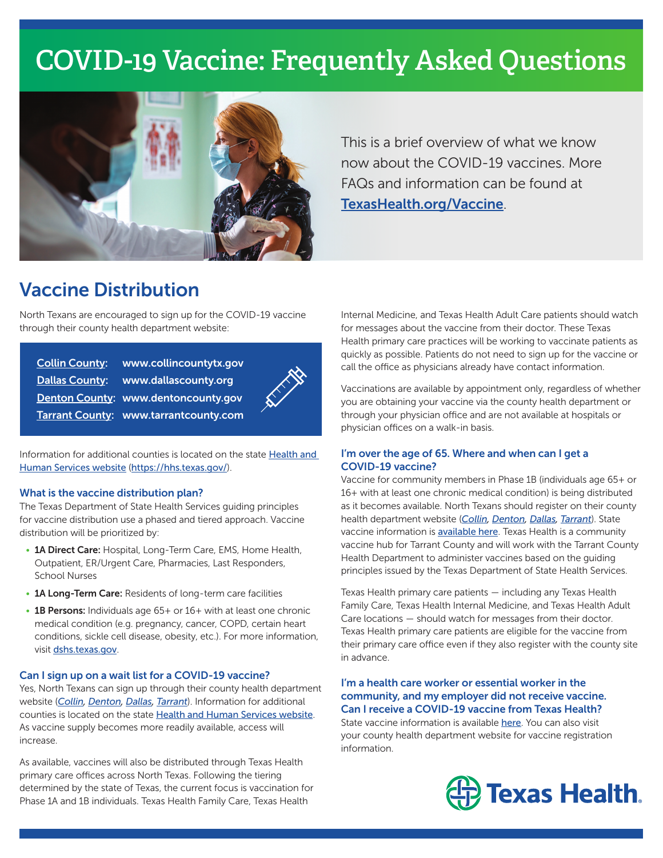# **COVID-19 Vaccine: Frequently Asked Questions**



This is a brief overview of what we know now about the COVID-19 vaccines. More FAQs and information can be found at <TexasHealth.org/Vaccine>.

### Vaccine Distribution

North Texans are encouraged to sign up for the COVID-19 vaccine through their county health department website:

| Collin County: www.collincountytx.gov        |  |
|----------------------------------------------|--|
| Dallas County: www.dallascounty.org          |  |
| Denton County: www.dentoncounty.gov          |  |
| <b>Tarrant County: www.tarrantcounty.com</b> |  |

Information for additional counties is located on the state [Health and](https://hhs.texas.gov/)  [Human Services website](https://hhs.texas.gov/) (<https://hhs.texas.gov/>).

#### What is the vaccine distribution plan?

The Texas Department of State Health Services guiding principles for vaccine distribution use a phased and tiered approach. Vaccine distribution will be prioritized by:

- 1A Direct Care: Hospital, Long-Term Care, EMS, Home Health, Outpatient, ER/Urgent Care, Pharmacies, Last Responders, School Nurses
- 1A Long-Term Care: Residents of long-term care facilities
- 1B Persons: Individuals age 65+ or 16+ with at least one chronic medical condition (e.g. pregnancy, cancer, COPD, certain heart conditions, sickle cell disease, obesity, etc.). For more information, visit [dshs.texas.gov](https://www.dshs.texas.gov/coronavirus/immunize/vaccine.aspx).

#### Can I sign up on a wait list for a COVID-19 vaccine?

Yes, North Texans can sign up through their county health department website (*[Collin](https://www.collincountytx.gov/healthcare_services/Pages/COVID19vaccines.aspx), [Denton,](https://storymaps.arcgis.com/stories/7c802a848ce04a0999f9831f2ddaaf2e) [Dallas](https://www.dallascounty.org/covid-19/covid-19-vaccination.php), [Tarrant](https://tcph.quickbase.com/db/bq3q4uet8)*). Information for additional counties is located on the state [Health and Human Services website](https://txdshs.maps.arcgis.com/apps/webappviewer/index.html?id=91ac7fb5e5fd47e7ada4acfe4a05920a). As vaccine supply becomes more readily available, access will increase.

As available, vaccines will also be distributed through Texas Health primary care offices across North Texas. Following the tiering determined by the state of Texas, the current focus is vaccination for Phase 1A and 1B individuals. Texas Health Family Care, Texas Health

Internal Medicine, and Texas Health Adult Care patients should watch for messages about the vaccine from their doctor. These Texas Health primary care practices will be working to vaccinate patients as quickly as possible. Patients do not need to sign up for the vaccine or call the office as physicians already have contact information.

Vaccinations are available by appointment only, regardless of whether you are obtaining your vaccine via the county health department or through your physician office and are not available at hospitals or physician offices on a walk-in basis.

#### I'm over the age of 65. Where and when can I get a COVID-19 vaccine?

Vaccine for community members in Phase 1B (individuals age 65+ or 16+ with at least one chronic medical condition) is being distributed as it becomes available. North Texans should register on their county health department website (*[Collin](https://www.collincountytx.gov/healthcare_services/Pages/COVID19vaccines.aspx), [Denton,](https://storymaps.arcgis.com/stories/7c802a848ce04a0999f9831f2ddaaf2e) [Dallas](https://www.dallascounty.org/covid-19/covid-19-vaccination.php), [Tarrant](https://tcph.quickbase.com/db/bq3q4uet8)*). State vaccine information is [available here](https://txdshs.maps.arcgis.com/apps/webappviewer/index.html?id=91ac7fb5e5fd47e7ada4acfe4a05920a). Texas Health is a community vaccine hub for Tarrant County and will work with the Tarrant County Health Department to administer vaccines based on the guiding principles issued by the Texas Department of State Health Services.

Texas Health primary care patients — including any Texas Health Family Care, Texas Health Internal Medicine, and Texas Health Adult Care locations — should watch for messages from their doctor. Texas Health primary care patients are eligible for the vaccine from their primary care office even if they also register with the county site in advance.

#### I'm a health care worker or essential worker in the community, and my employer did not receive vaccine. Can I receive a COVID-19 vaccine from Texas Health?

State vaccine information is available [here](https://txdshs.maps.arcgis.com/apps/webappviewer/index.html?id=91ac7fb5e5fd47e7ada4acfe4a05920a). You can also visit your county health department website for vaccine registration information.

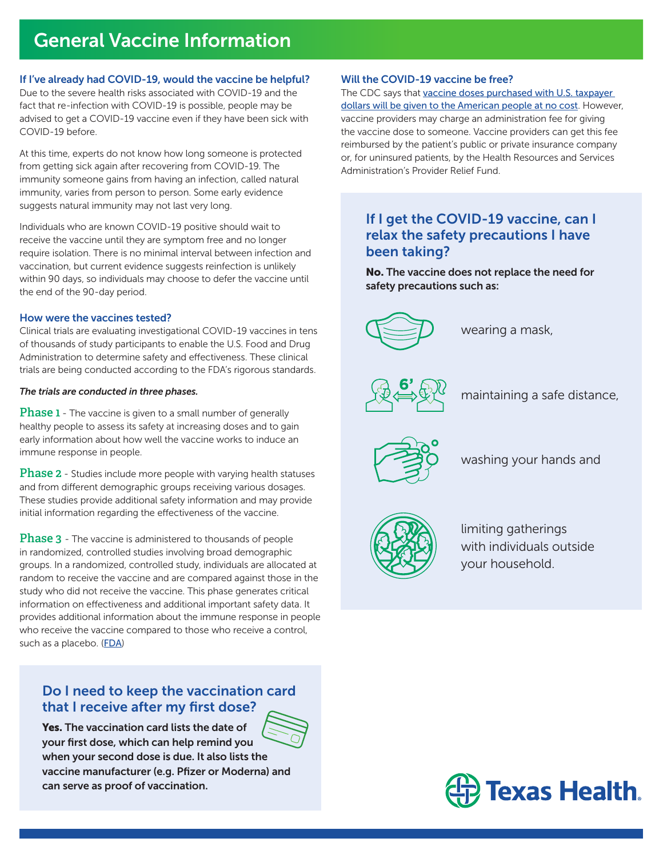# General Vaccine Information

#### If I've already had COVID-19, would the vaccine be helpful?

Due to the severe health risks associated with COVID-19 and the fact that re-infection with COVID-19 is possible, people may be advised to get a COVID-19 vaccine even if they have been sick with COVID-19 before.

At this time, experts do not know how long someone is protected from getting sick again after recovering from COVID-19. The immunity someone gains from having an infection, called natural immunity, varies from person to person. Some early evidence suggests natural immunity may not last very long.

Individuals who are known COVID-19 positive should wait to receive the vaccine until they are symptom free and no longer require isolation. There is no minimal interval between infection and vaccination, but current evidence suggests reinfection is unlikely within 90 days, so individuals may choose to defer the vaccine until the end of the 90-day period.

#### How were the vaccines tested?

Clinical trials are evaluating investigational COVID-19 vaccines in tens of thousands of study participants to enable the U.S. Food and Drug Administration to determine safety and effectiveness. These clinical trials are being conducted according to the FDA's rigorous standards.

#### *The trials are conducted in three phases.*

**Phase 1** - The vaccine is given to a small number of generally healthy people to assess its safety at increasing doses and to gain early information about how well the vaccine works to induce an immune response in people.

**Phase 2** - Studies include more people with varying health statuses and from different demographic groups receiving various dosages. These studies provide additional safety information and may provide initial information regarding the effectiveness of the vaccine.

**Phase 3** - The vaccine is administered to thousands of people in randomized, controlled studies involving broad demographic groups. In a randomized, controlled study, individuals are allocated at random to receive the vaccine and are compared against those in the study who did not receive the vaccine. This phase generates critical information on effectiveness and additional important safety data. It provides additional information about the immune response in people who receive the vaccine compared to those who receive a control, such as a placebo. ([FDA](https://www.fda.gov/vaccines-blood-biologics/vaccines/emergency-use-authorization-vaccines-explained))

### Do I need to keep the vaccination card that I receive after my first dose?

Yes. The vaccination card lists the date of your first dose, which can help remind you when your second dose is due. It also lists the vaccine manufacturer (e.g. Pfizer or Moderna) and can serve as proof of vaccination.

#### Will the COVID-19 vaccine be free?

The CDC says that [vaccine doses purchased with U.S. taxpayer](https://www.cdc.gov/coronavirus/2019-ncov/vaccines/faq.html)  [dollars will be given to the American people at no cost](https://www.cdc.gov/coronavirus/2019-ncov/vaccines/faq.html). However, vaccine providers may charge an administration fee for giving the vaccine dose to someone. Vaccine providers can get this fee reimbursed by the patient's public or private insurance company or, for uninsured patients, by the Health Resources and Services Administration's Provider Relief Fund.

### If I get the COVID-19 vaccine, can I relax the safety precautions I have been taking?

No. The vaccine does not replace the need for safety precautions such as:



wearing a mask,



maintaining a safe distance,



washing your hands and



limiting gatherings with individuals outside your household.